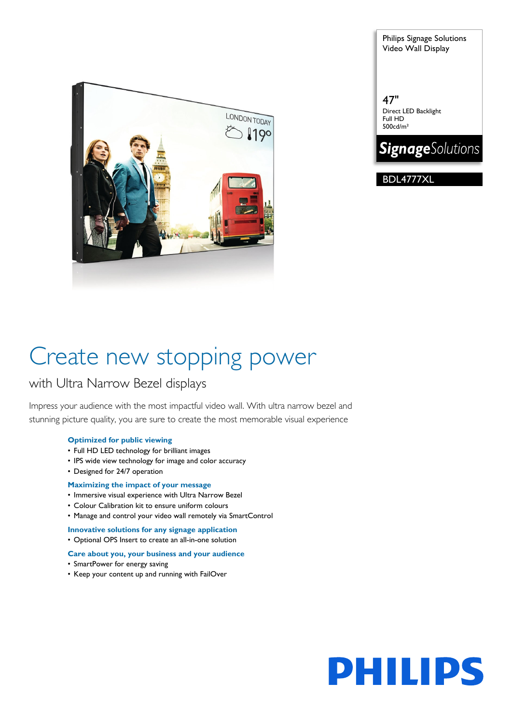

Philips Signage Solutions Video Wall Display

47" Direct LED Backlight Full HD 500cd/m²



BDL4777XL

# Create new stopping power

### with Ultra Narrow Bezel displays

Impress your audience with the most impactful video wall. With ultra narrow bezel and stunning picture quality, you are sure to create the most memorable visual experience

#### **Optimized for public viewing**

- Full HD LED technology for brilliant images
- IPS wide view technology for image and color accuracy
- Designed for 24/7 operation

#### **Maximizing the impact of your message**

- Immersive visual experience with Ultra Narrow Bezel
- Colour Calibration kit to ensure uniform colours
- Manage and control your video wall remotely via SmartControl

**Innovative solutions for any signage application** • Optional OPS Insert to create an all-in-one solution

#### **Care about you, your business and your audience**

- SmartPower for energy saving
- Keep your content up and running with FailOver

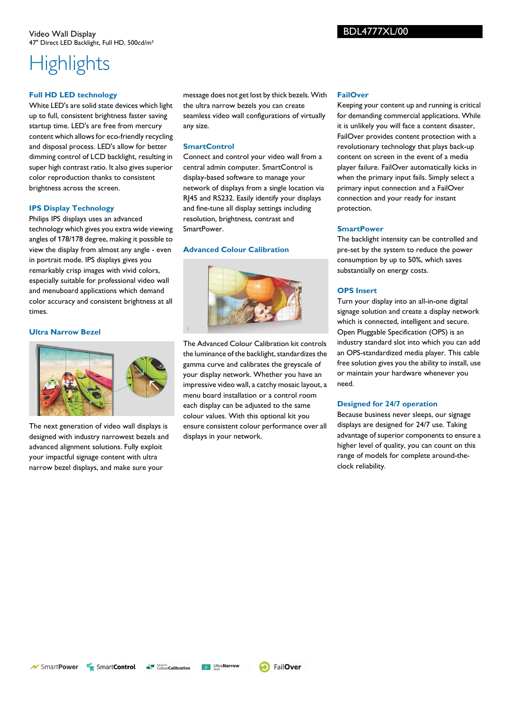## **Highlights**

#### **Full HD LED technology**

White LED's are solid state devices which light up to full, consistent brightness faster saving startup time. LED's are free from mercury content which allows for eco-friendly recycling and disposal process. LED's allow for better dimming control of LCD backlight, resulting in super high contrast ratio. It also gives superior color reproduction thanks to consistent brightness across the screen.

#### **IPS Display Technology**

Philips IPS displays uses an advanced technology which gives you extra wide viewing angles of 178/178 degree, making it possible to view the display from almost any angle - even in portrait mode. IPS displays gives you remarkably crisp images with vivid colors, especially suitable for professional video wall and menuboard applications which demand color accuracy and consistent brightness at all times.

#### **Ultra Narrow Bezel**



The next generation of video wall displays is designed with industry narrowest bezels and advanced alignment solutions. Fully exploit your impactful signage content with ultra narrow bezel displays, and make sure your

message does not get lost by thick bezels. With the ultra narrow bezels you can create seamless video wall configurations of virtually any size.

#### **SmartControl**

Connect and control your video wall from a central admin computer. SmartControl is display-based software to manage your network of displays from a single location via RJ45 and RS232. Easily identify your displays and fine-tune all display settings including resolution, brightness, contrast and SmartPower.

#### **Advanced Colour Calibration**



The Advanced Colour Calibration kit controls the luminance of the backlight, standardizes the gamma curve and calibrates the greyscale of your display network. Whether you have an impressive video wall, a catchy mosaic layout, a menu board installation or a control room each display can be adjusted to the same colour values. With this optional kit you ensure consistent colour performance over all displays in your network.

#### **FailOver**

Keeping your content up and running is critical for demanding commercial applications. While it is unlikely you will face a content disaster, FailOver provides content protection with a revolutionary technology that plays back-up content on screen in the event of a media player failure. FailOver automatically kicks in when the primary input fails. Simply select a primary input connection and a FailOver connection and your ready for instant protection.

#### **SmartPower**

The backlight intensity can be controlled and pre-set by the system to reduce the power consumption by up to 50%, which saves substantially on energy costs.

#### **OPS Insert**

Turn your display into an all-in-one digital signage solution and create a display network which is connected, intelligent and secure. Open Pluggable Specification (OPS) is an industry standard slot into which you can add an OPS-standardized media player. This cable free solution gives you the ability to install, use or maintain your hardware whenever you need.

#### **Designed for 24/7 operation**

Because business never sleeps, our signage displays are designed for 24/7 use. Taking advantage of superior components to ensure a higher level of quality, you can count on this range of models for complete around-theclock reliability.

 $\mathcal N$  SmartPower

<sup>o</sup><sub>R</sub> SmartControl **ColourCalibration**  **D** Ultra**Narrow**